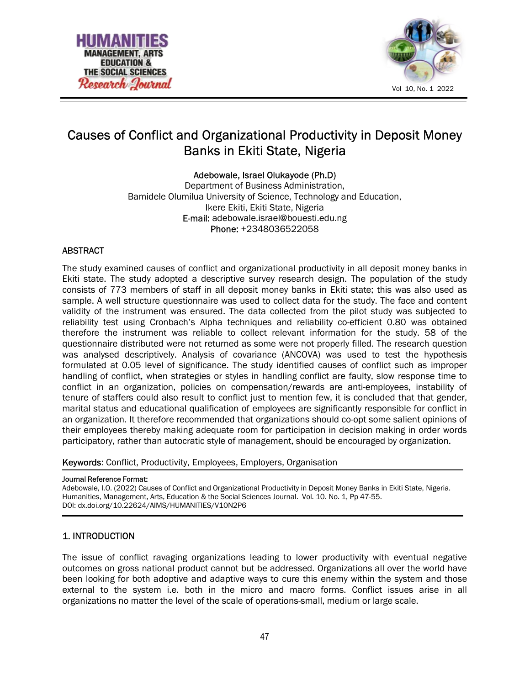



# Causes of Conflict and Organizational Productivity in Deposit Money Banks in Ekiti State, Nigeria

Adebowale, Israel Olukayode (Ph.D)

Department of Business Administration, Bamidele Olumilua University of Science, Technology and Education, Ikere Ekiti, Ekiti State, Nigeria E-mail: adebowale.israel@bouesti.edu.ng Phone: +2348036522058

# **ABSTRACT**

The study examined causes of conflict and organizational productivity in all deposit money banks in Ekiti state. The study adopted a descriptive survey research design. The population of the study consists of 773 members of staff in all deposit money banks in Ekiti state; this was also used as sample. A well structure questionnaire was used to collect data for the study. The face and content validity of the instrument was ensured. The data collected from the pilot study was subjected to reliability test using Cronbach's Alpha techniques and reliability co-efficient 0.80 was obtained therefore the instrument was reliable to collect relevant information for the study. 58 of the questionnaire distributed were not returned as some were not properly filled. The research question was analysed descriptively. Analysis of covariance (ANCOVA) was used to test the hypothesis formulated at 0.05 level of significance. The study identified causes of conflict such as improper handling of conflict, when strategies or styles in handling conflict are faulty, slow response time to conflict in an organization, policies on compensation/rewards are anti-employees, instability of tenure of staffers could also result to conflict just to mention few, it is concluded that that gender, marital status and educational qualification of employees are significantly responsible for conflict in an organization. It therefore recommended that organizations should co-opt some salient opinions of their employees thereby making adequate room for participation in decision making in order words participatory, rather than autocratic style of management, should be encouraged by organization.

Keywords: Conflict, Productivity, Employees, Employers, Organisation

#### Journal Reference Format:

Adebowale, I.O. (2022) Causes of Conflict and Organizational Productivity in Deposit Money Banks in Ekiti State, Nigeria. Humanities, Management, Arts, Education & the Social Sciences Journal. Vol. 10. No. 1, Pp 47-55. DOI: dx.doi.org/10.22624/AIMS/HUMANITIES/V10N2P6

# 1. INTRODUCTION

The issue of conflict ravaging organizations leading to lower productivity with eventual negative outcomes on gross national product cannot but be addressed. Organizations all over the world have been looking for both adoptive and adaptive ways to cure this enemy within the system and those external to the system i.e. both in the micro and macro forms. Conflict issues arise in all organizations no matter the level of the scale of operations-small, medium or large scale.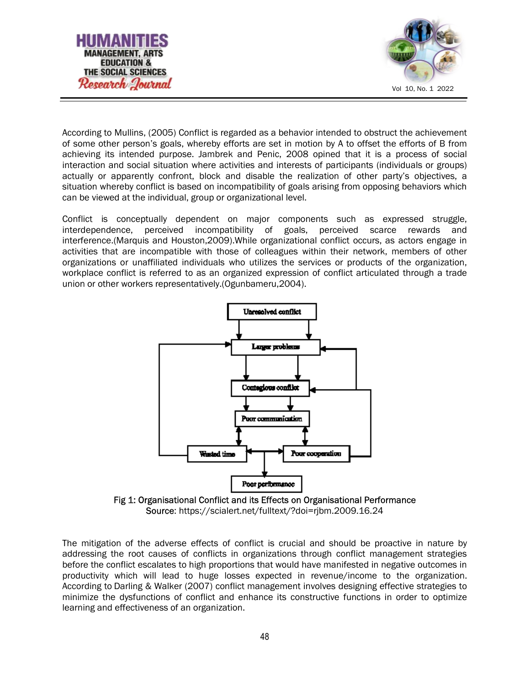



According to Mullins, (2005) Conflict is regarded as a behavior intended to obstruct the achievement of some other person's goals, whereby efforts are set in motion by A to offset the efforts of B from achieving its intended purpose. Jambrek and Penic, 2008 opined that it is a process of social interaction and social situation where activities and interests of participants (individuals or groups) actually or apparently confront, block and disable the realization of other party's objectives, a situation whereby conflict is based on incompatibility of goals arising from opposing behaviors which can be viewed at the individual, group or organizational level.

Conflict is conceptually dependent on major components such as expressed struggle, interdependence, perceived incompatibility of goals, perceived scarce rewards and interference.(Marquis and Houston,2009).While organizational conflict occurs, as actors engage in activities that are incompatible with those of colleagues within their network, members of other organizations or unaffiliated individuals who utilizes the services or products of the organization, workplace conflict is referred to as an organized expression of conflict articulated through a trade union or other workers representatively.(Ogunbameru,2004).





The mitigation of the adverse effects of conflict is crucial and should be proactive in nature by addressing the root causes of conflicts in organizations through conflict management strategies before the conflict escalates to high proportions that would have manifested in negative outcomes in productivity which will lead to huge losses expected in revenue/income to the organization. According to Darling & Walker (2007) conflict management involves designing effective strategies to minimize the dysfunctions of conflict and enhance its constructive functions in order to optimize learning and effectiveness of an organization.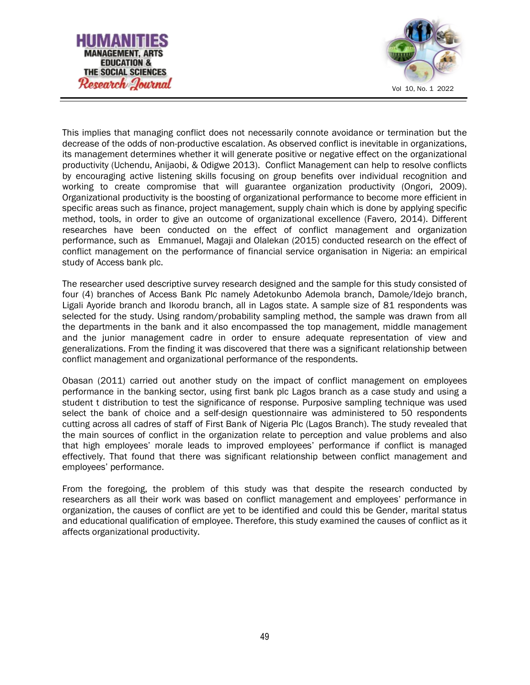



This implies that managing conflict does not necessarily connote avoidance or termination but the decrease of the odds of non-productive escalation. As observed conflict is inevitable in organizations, its management determines whether it will generate positive or negative effect on the organizational productivity (Uchendu, Anijaobi, & Odigwe 2013). Conflict Management can help to resolve conflicts by encouraging active listening skills focusing on group benefits over individual recognition and working to create compromise that will guarantee organization productivity (Ongori, 2009). Organizational productivity is the boosting of organizational performance to become more efficient in specific areas such as finance, project management, supply chain which is done by applying specific method, tools, in order to give an outcome of organizational excellence (Favero, 2014). Different researches have been conducted on the effect of conflict management and organization performance, such as Emmanuel, Magaji and Olalekan (2015) conducted research on the effect of conflict management on the performance of financial service organisation in Nigeria: an empirical study of Access bank plc.

The researcher used descriptive survey research designed and the sample for this study consisted of four (4) branches of Access Bank Plc namely Adetokunbo Ademola branch, Damole/Idejo branch, Ligali Ayoride branch and Ikorodu branch, all in Lagos state. A sample size of 81 respondents was selected for the study. Using random/probability sampling method, the sample was drawn from all the departments in the bank and it also encompassed the top management, middle management and the junior management cadre in order to ensure adequate representation of view and generalizations. From the finding it was discovered that there was a significant relationship between conflict management and organizational performance of the respondents.

Obasan (2011) carried out another study on the impact of conflict management on employees performance in the banking sector, using first bank plc Lagos branch as a case study and using a student t distribution to test the significance of response. Purposive sampling technique was used select the bank of choice and a self-design questionnaire was administered to 50 respondents cutting across all cadres of staff of First Bank of Nigeria Plc (Lagos Branch). The study revealed that the main sources of conflict in the organization relate to perception and value problems and also that high employees' morale leads to improved employees' performance if conflict is managed effectively. That found that there was significant relationship between conflict management and employees' performance.

From the foregoing, the problem of this study was that despite the research conducted by researchers as all their work was based on conflict management and employees' performance in organization, the causes of conflict are yet to be identified and could this be Gender, marital status and educational qualification of employee. Therefore, this study examined the causes of conflict as it affects organizational productivity.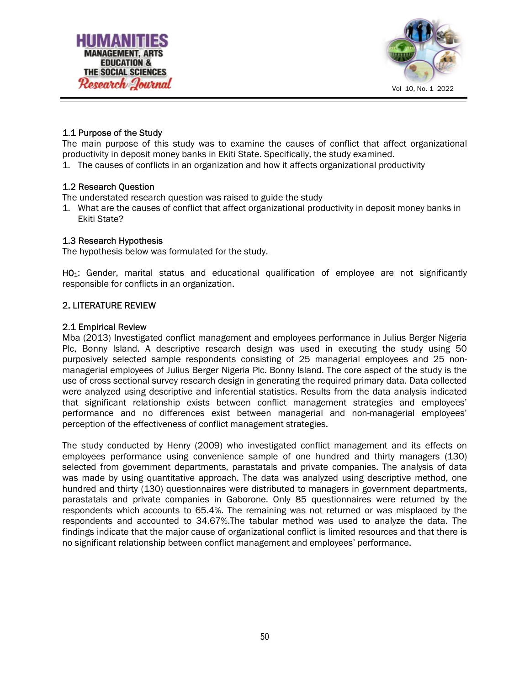



# 1.1 Purpose of the Study

The main purpose of this study was to examine the causes of conflict that affect organizational productivity in deposit money banks in Ekiti State. Specifically, the study examined.

1. The causes of conflicts in an organization and how it affects organizational productivity

## 1.2 Research Question

The understated research question was raised to guide the study

1. What are the causes of conflict that affect organizational productivity in deposit money banks in Ekiti State?

#### 1.3 Research Hypothesis

The hypothesis below was formulated for the study.

HO<sub>1</sub>: Gender, marital status and educational qualification of employee are not significantly responsible for conflicts in an organization.

# 2. LITERATURE REVIEW

#### 2.1 Empirical Review

Mba (2013) Investigated conflict management and employees performance in Julius Berger Nigeria Plc, Bonny Island. A descriptive research design was used in executing the study using 50 purposively selected sample respondents consisting of 25 managerial employees and 25 nonmanagerial employees of Julius Berger Nigeria Plc. Bonny Island. The core aspect of the study is the use of cross sectional survey research design in generating the required primary data. Data collected were analyzed using descriptive and inferential statistics. Results from the data analysis indicated that significant relationship exists between conflict management strategies and employees' performance and no differences exist between managerial and non-managerial employees' perception of the effectiveness of conflict management strategies.

The study conducted by Henry (2009) who investigated conflict management and its effects on employees performance using convenience sample of one hundred and thirty managers (130) selected from government departments, parastatals and private companies. The analysis of data was made by using quantitative approach. The data was analyzed using descriptive method, one hundred and thirty (130) questionnaires were distributed to managers in government departments, parastatals and private companies in Gaborone. Only 85 questionnaires were returned by the respondents which accounts to 65.4%. The remaining was not returned or was misplaced by the respondents and accounted to 34.67%.The tabular method was used to analyze the data. The findings indicate that the major cause of organizational conflict is limited resources and that there is no significant relationship between conflict management and employees' performance.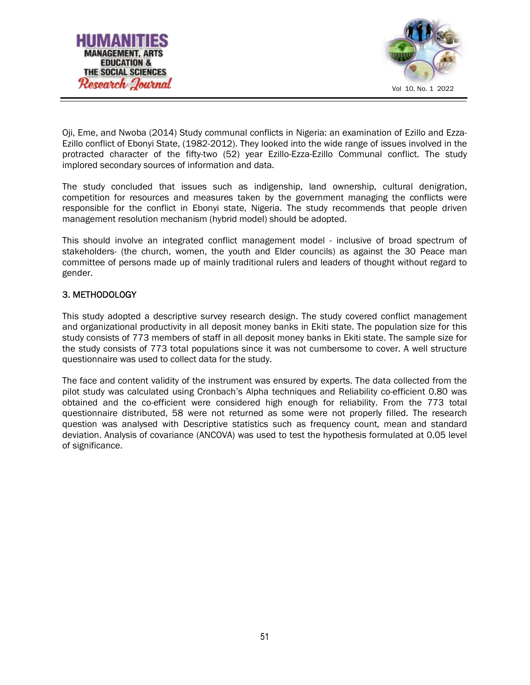



Oji, Eme, and Nwoba (2014) Study communal conflicts in Nigeria: an examination of Ezillo and Ezza-Ezillo conflict of Ebonyi State, (1982-2012). They looked into the wide range of issues involved in the protracted character of the fifty-two (52) year Ezillo-Ezza-Ezillo Communal conflict. The study implored secondary sources of information and data.

The study concluded that issues such as indigenship, land ownership, cultural denigration, competition for resources and measures taken by the government managing the conflicts were responsible for the conflict in Ebonyi state, Nigeria. The study recommends that people driven management resolution mechanism (hybrid model) should be adopted.

This should involve an integrated conflict management model - inclusive of broad spectrum of stakeholders- (the church, women, the youth and Elder councils) as against the 30 Peace man committee of persons made up of mainly traditional rulers and leaders of thought without regard to gender.

## 3. METHODOLOGY

This study adopted a descriptive survey research design. The study covered conflict management and organizational productivity in all deposit money banks in Ekiti state. The population size for this study consists of 773 members of staff in all deposit money banks in Ekiti state. The sample size for the study consists of 773 total populations since it was not cumbersome to cover. A well structure questionnaire was used to collect data for the study.

The face and content validity of the instrument was ensured by experts. The data collected from the pilot study was calculated using Cronbach's Alpha techniques and Reliability co-efficient 0.80 was obtained and the co-efficient were considered high enough for reliability. From the 773 total questionnaire distributed, 58 were not returned as some were not properly filled. The research question was analysed with Descriptive statistics such as frequency count, mean and standard deviation. Analysis of covariance (ANCOVA) was used to test the hypothesis formulated at 0.05 level of significance.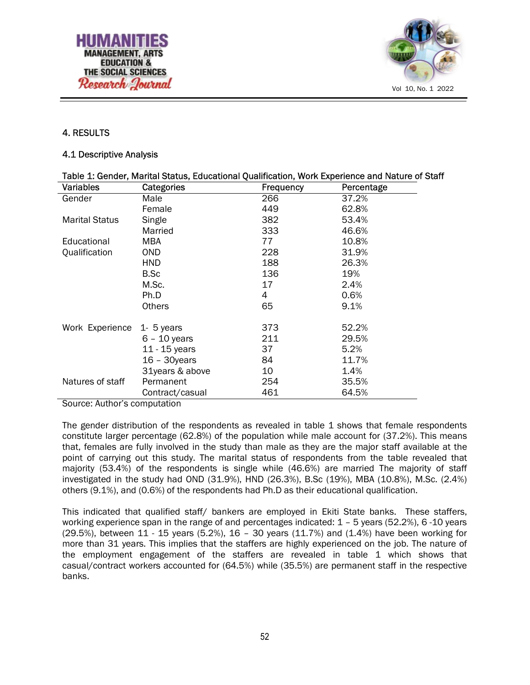



# 4. RESULTS

#### 4.1 Descriptive Analysis

| Table 1: Gender, Marital Status, Educational Qualification, Work Experience and Nature of Staff |                 |           |            |  |
|-------------------------------------------------------------------------------------------------|-----------------|-----------|------------|--|
| Variables                                                                                       | Categories      | Frequency | Percentage |  |
| Gender                                                                                          | Male            | 266       | 37.2%      |  |
|                                                                                                 | Female          | 449       | 62.8%      |  |
| <b>Marital Status</b>                                                                           | Single          | 382       | 53.4%      |  |
|                                                                                                 | Married         | 333       | 46.6%      |  |
| Educational                                                                                     | MBA             | 77        | 10.8%      |  |
| Qualification                                                                                   | OND.            | 228       | 31.9%      |  |
|                                                                                                 | <b>HND</b>      | 188       | 26.3%      |  |
|                                                                                                 | B.Sc            | 136       | 19%        |  |
|                                                                                                 | M.Sc.           | 17        | 2.4%       |  |
|                                                                                                 | Ph.D            | 4         | 0.6%       |  |
|                                                                                                 | <b>Others</b>   | 65        | 9.1%       |  |
| Work Experience                                                                                 | $1 - 5$ years   | 373       | 52.2%      |  |
|                                                                                                 | $6 - 10$ years  | 211       | 29.5%      |  |
|                                                                                                 | 11 - 15 years   | 37        | 5.2%       |  |
|                                                                                                 | $16 - 30$ years | 84        | 11.7%      |  |
|                                                                                                 | 31years & above | 10        | 1.4%       |  |
| Natures of staff                                                                                | Permanent       | 254       | 35.5%      |  |
|                                                                                                 | Contract/casual | 461       | 64.5%      |  |

Source: Author's computation

The gender distribution of the respondents as revealed in table 1 shows that female respondents constitute larger percentage (62.8%) of the population while male account for (37.2%). This means that, females are fully involved in the study than male as they are the major staff available at the point of carrying out this study. The marital status of respondents from the table revealed that majority (53.4%) of the respondents is single while (46.6%) are married The majority of staff investigated in the study had OND (31.9%), HND (26.3%), B.Sc (19%), MBA (10.8%), M.Sc. (2.4%) others (9.1%), and (0.6%) of the respondents had Ph.D as their educational qualification.

This indicated that qualified staff/ bankers are employed in Ekiti State banks. These staffers, working experience span in the range of and percentages indicated: 1 – 5 years (52.2%), 6 -10 years  $(29.5%)$ , between 11 - 15 years  $(5.2%)$ , 16 - 30 years  $(11.7%)$  and  $(1.4%)$  have been working for more than 31 years. This implies that the staffers are highly experienced on the job. The nature of the employment engagement of the staffers are revealed in table 1 which shows that casual/contract workers accounted for (64.5%) while (35.5%) are permanent staff in the respective banks.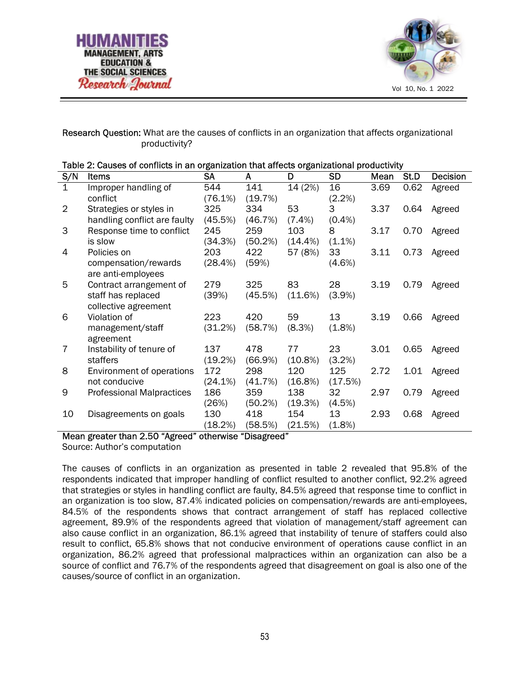



## Research Question: What are the causes of conflicts in an organization that affects organizational productivity?

| Table 2: Causes of conflicts in an organization that affects organizational productivity |                                  |            |         |            |           |      |      |                 |
|------------------------------------------------------------------------------------------|----------------------------------|------------|---------|------------|-----------|------|------|-----------------|
| S/N                                                                                      | <b>Items</b>                     | SA         | A       | D          | <b>SD</b> | Mean | St.D | <b>Decision</b> |
| 1                                                                                        | Improper handling of             | 544        | 141     | 14 (2%)    | 16        | 3.69 | 0.62 | Agreed          |
|                                                                                          | conflict                         | (76.1%)    | (19.7%) |            | $(2.2\%)$ |      |      |                 |
| 2                                                                                        | Strategies or styles in          | 325        | 334     | 53         | 3         | 3.37 | 0.64 | Agreed          |
|                                                                                          | handling conflict are faulty     | (45.5%)    | (46.7%) | $(7.4\%)$  | $(0.4\%)$ |      |      |                 |
| 3                                                                                        | Response time to conflict        | 245        | 259     | 103        | 8         | 3.17 | 0.70 | Agreed          |
|                                                                                          | is slow                          | (34.3%)    | (50.2%) | $(14.4\%)$ | $(1.1\%)$ |      |      |                 |
| 4                                                                                        | Policies on                      | 203        | 422     | 57 (8%)    | 33        | 3.11 | 0.73 | Agreed          |
|                                                                                          | compensation/rewards             | (28.4%)    | (59%)   |            | $(4.6\%)$ |      |      |                 |
|                                                                                          | are anti-employees               |            |         |            |           |      |      |                 |
| 5                                                                                        | Contract arrangement of          | 279        | 325     | 83         | 28        | 3.19 | 0.79 | Agreed          |
|                                                                                          | staff has replaced               | (39%)      | (45.5%) | (11.6%)    | $(3.9\%)$ |      |      |                 |
|                                                                                          | collective agreement             |            |         |            |           |      |      |                 |
| 6                                                                                        | Violation of                     | 223        | 420     | 59         | 13        | 3.19 | 0.66 | Agreed          |
|                                                                                          | management/staff                 | (31.2%)    | (58.7%) | (8.3%)     | (1.8%)    |      |      |                 |
|                                                                                          | agreement                        |            |         |            |           |      |      |                 |
| 7                                                                                        | Instability of tenure of         | 137        | 478     | 77         | 23        | 3.01 | 0.65 | Agreed          |
|                                                                                          | staffers                         | (19.2%)    | (66.9%) | $(10.8\%)$ | (3.2%)    |      |      |                 |
| 8                                                                                        | Environment of operations        | 172        | 298     | 120        | 125       | 2.72 | 1.01 | Agreed          |
|                                                                                          | not conducive                    | $(24.1\%)$ | (41.7%) | $(16.8\%)$ | (17.5%)   |      |      |                 |
| 9                                                                                        | <b>Professional Malpractices</b> | 186        | 359     | 138        | 32        | 2.97 | 0.79 | Agreed          |
|                                                                                          |                                  | (26%)      | (50.2%) | (19.3%)    | (4.5%)    |      |      |                 |
| 10                                                                                       | Disagreements on goals           | 130        | 418     | 154        | 13        | 2.93 | 0.68 | Agreed          |
|                                                                                          |                                  | (18.2%)    | (58.5%) | (21.5%)    | (1.8%)    |      |      |                 |

| Table 2: Causes of conflicts in an organization that affects organizational productivity |  |
|------------------------------------------------------------------------------------------|--|
|                                                                                          |  |

#### Mean greater than 2.50 "Agreed" otherwise "Disagreed"

Source: Author's computation

The causes of conflicts in an organization as presented in table 2 revealed that 95.8% of the respondents indicated that improper handling of conflict resulted to another conflict, 92.2% agreed that strategies or styles in handling conflict are faulty, 84.5% agreed that response time to conflict in an organization is too slow, 87.4% indicated policies on compensation/rewards are anti-employees, 84.5% of the respondents shows that contract arrangement of staff has replaced collective agreement, 89.9% of the respondents agreed that violation of management/staff agreement can also cause conflict in an organization, 86.1% agreed that instability of tenure of staffers could also result to conflict, 65.8% shows that not conducive environment of operations cause conflict in an organization, 86.2% agreed that professional malpractices within an organization can also be a source of conflict and 76.7% of the respondents agreed that disagreement on goal is also one of the causes/source of conflict in an organization.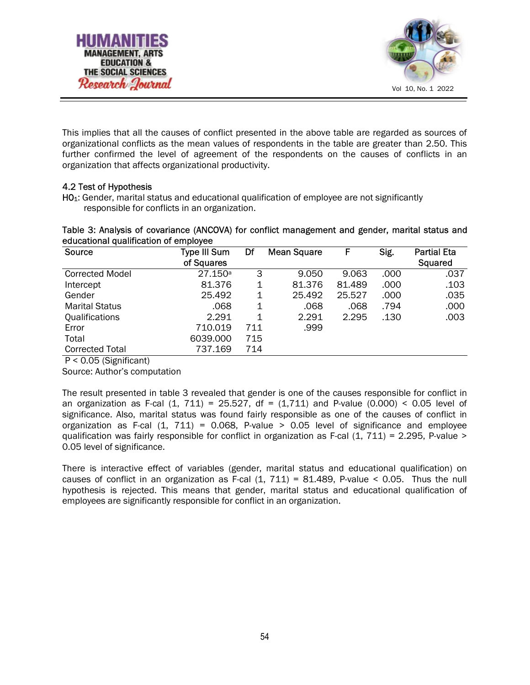



This implies that all the causes of conflict presented in the above table are regarded as sources of organizational conflicts as the mean values of respondents in the table are greater than 2.50. This further confirmed the level of agreement of the respondents on the causes of conflicts in an organization that affects organizational productivity.

## 4.2 Test of Hypothesis

H01: Gender, marital status and educational qualification of employee are not significantly responsible for conflicts in an organization.

Table 3: Analysis of covariance (ANCOVA) for conflict management and gender, marital status and educational qualification of employee

| Source                 | <b>Type III Sum</b><br>of Squares | Df  | <b>Mean Square</b> | F      | Sig. | <b>Partial Eta</b><br>Squared |
|------------------------|-----------------------------------|-----|--------------------|--------|------|-------------------------------|
| <b>Corrected Model</b> | 27.150a                           | 3   | 9.050              | 9.063  | .000 | .037                          |
| Intercept              | 81.376                            | 1   | 81.376             | 81.489 | .000 | .103                          |
| Gender                 | 25.492                            | 1   | 25.492             | 25.527 | .000 | .035                          |
| <b>Marital Status</b>  | .068                              | 1   | .068               | .068   | .794 | .000                          |
| Qualifications         | 2.291                             | 1   | 2.291              | 2.295  | .130 | .003                          |
| Error                  | 710.019                           | 711 | .999               |        |      |                               |
| Total                  | 6039.000                          | 715 |                    |        |      |                               |
| <b>Corrected Total</b> | 737.169                           | 714 |                    |        |      |                               |

P < 0.05 (Significant)

Source: Author's computation

The result presented in table 3 revealed that gender is one of the causes responsible for conflict in an organization as F-cal  $(1, 711) = 25.527$ , df =  $(1,711)$  and P-value  $(0.000) < 0.05$  level of significance. Also, marital status was found fairly responsible as one of the causes of conflict in organization as F-cal  $(1, 711) = 0.068$ , P-value > 0.05 level of significance and employee qualification was fairly responsible for conflict in organization as F-cal  $(1, 711) = 2.295$ , P-value > 0.05 level of significance.

There is interactive effect of variables (gender, marital status and educational qualification) on causes of conflict in an organization as F-cal  $(1, 711) = 81.489$ , P-value < 0.05. Thus the null hypothesis is rejected. This means that gender, marital status and educational qualification of employees are significantly responsible for conflict in an organization.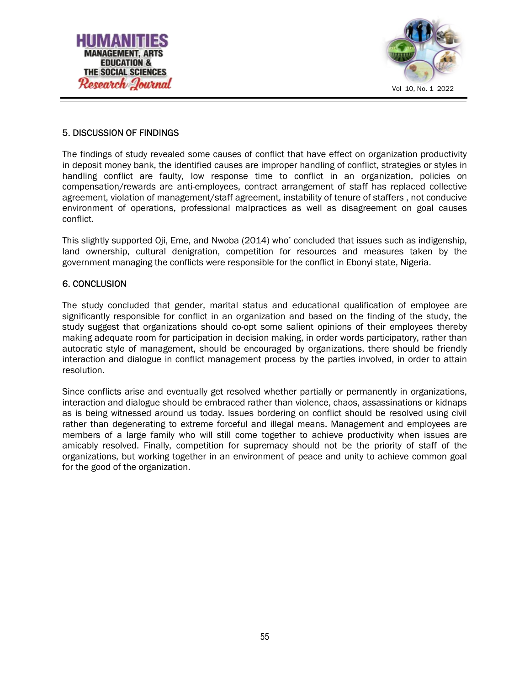



# 5. DISCUSSION OF FINDINGS

The findings of study revealed some causes of conflict that have effect on organization productivity in deposit money bank, the identified causes are improper handling of conflict, strategies or styles in handling conflict are faulty, low response time to conflict in an organization, policies on compensation/rewards are anti-employees, contract arrangement of staff has replaced collective agreement, violation of management/staff agreement, instability of tenure of staffers , not conducive environment of operations, professional malpractices as well as disagreement on goal causes conflict.

This slightly supported Oji, Eme, and Nwoba (2014) who' concluded that issues such as indigenship, land ownership, cultural denigration, competition for resources and measures taken by the government managing the conflicts were responsible for the conflict in Ebonyi state, Nigeria.

## 6. CONCLUSION

The study concluded that gender, marital status and educational qualification of employee are significantly responsible for conflict in an organization and based on the finding of the study, the study suggest that organizations should co-opt some salient opinions of their employees thereby making adequate room for participation in decision making, in order words participatory, rather than autocratic style of management, should be encouraged by organizations, there should be friendly interaction and dialogue in conflict management process by the parties involved, in order to attain resolution.

Since conflicts arise and eventually get resolved whether partially or permanently in organizations, interaction and dialogue should be embraced rather than violence, chaos, assassinations or kidnaps as is being witnessed around us today. Issues bordering on conflict should be resolved using civil rather than degenerating to extreme forceful and illegal means. Management and employees are members of a large family who will still come together to achieve productivity when issues are amicably resolved. Finally, competition for supremacy should not be the priority of staff of the organizations, but working together in an environment of peace and unity to achieve common goal for the good of the organization.